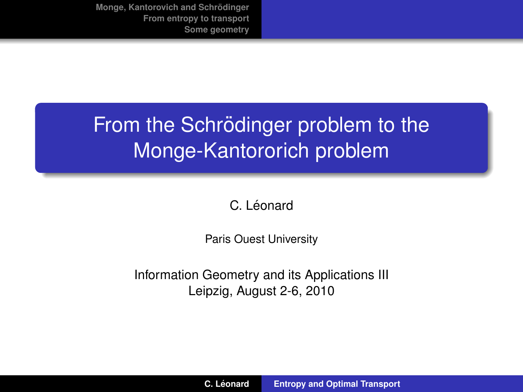# From the Schrödinger problem to the Monge-Kantororich problem

<span id="page-0-0"></span>C. Léonard

Paris Ouest University

Information Geometry and its Applications III Leipzig, August 2-6, 2010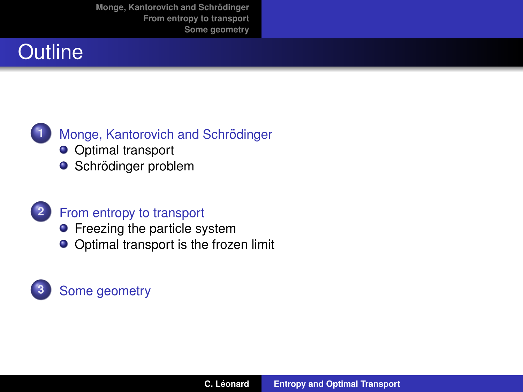## **Outline**



### **Monge, Kantorovich and Schrödinger**

- **O** [Optimal transport](#page-2-0)
- **O** Schrödinger problem

### **2** [From entropy to transport](#page-9-0)

- **•** [Freezing the particle system](#page-9-0)
- [Optimal transport is the frozen limit](#page-13-0)

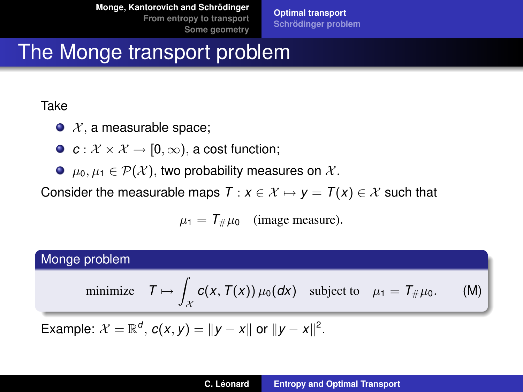**[Optimal transport](#page-2-0) [Schrodinger problem](#page-5-0) ¨**

## The Monge transport problem

#### Take

- $\bullet$  X, a measurable space;
- $\bullet$   $c: \mathcal{X} \times \mathcal{X} \rightarrow [0, \infty)$ , a cost function;
- $\bullet$   $\mu_0, \mu_1 \in \mathcal{P}(\mathcal{X})$ , two probability measures on X.

Consider the measurable maps  $T : x \in \mathcal{X} \mapsto y = T(x) \in \mathcal{X}$  such that

<span id="page-2-0"></span>
$$
\mu_1 = T_{\#}\mu_0 \quad \text{(image measure)}.
$$

### Monge problem

minimize 
$$
T \mapsto \int_{\mathcal{X}} c(x, T(x)) \mu_0(dx)
$$
 subject to  $\mu_1 = T_{\#} \mu_0$ . (M)

Example:  $\mathcal{X} = \mathbb{R}^d$ ,  $c(x, y) = ||y - x||$  or  $||y - x||^2$ .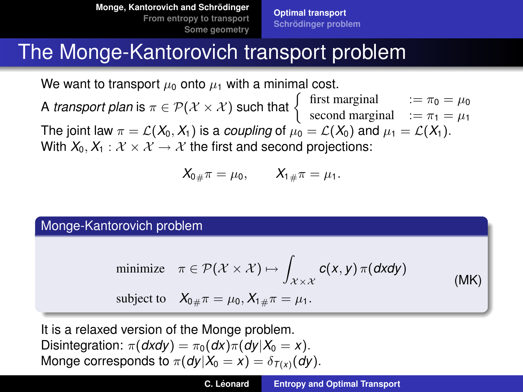**[Optimal transport](#page-2-0) [Schrodinger problem](#page-5-0) ¨**

## The Monge-Kantorovich transport problem

We want to transport  $\mu_0$  onto  $\mu_1$  with a minimal cost.

A *transport plan* is  $\pi \in \mathcal{P}(\mathcal{X} \times \mathcal{X})$  such that  $\left\{\begin{array}{rcl} \text{first marginal} & := \pi_0 = \mu_0, \\ \text{second marginal} & := \pi_0 = \mu_0. \end{array}\right.$ second marginal  $:= \pi_1 = \mu_1$ The joint law  $\pi = \mathcal{L}(X_0, X_1)$  is a *coupling* of  $\mu_0 = \mathcal{L}(X_0)$  and  $\mu_1 = \mathcal{L}(X_1)$ . With  $X_0, X_1 : \mathcal{X} \times \mathcal{X} \rightarrow \mathcal{X}$  the first and second projections:

$$
X_{0\#}\pi = \mu_0, \qquad X_{1\#}\pi = \mu_1.
$$

Monge-Kantorovich problem

minimize 
$$
\pi \in \mathcal{P}(\mathcal{X} \times \mathcal{X}) \mapsto \int_{\mathcal{X} \times \mathcal{X}} c(x, y) \pi(dxdy)
$$

subject to  $X_{0\#}\pi = \mu_0, X_{1\#}\pi = \mu_1$ .

It is a relaxed version of the Monge problem. Disintegration:  $\pi(dxdy) = \pi_0(dx)\pi(dy|X_0 = x)$ . Monge corresponds to  $\pi(dy|X_0 = x) = \delta_{T(x)}(dy)$ . (MK)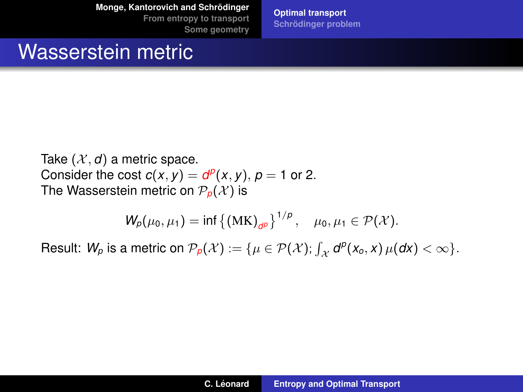**Monge, Kantorovich and Schrödinger** 

**[From entropy to transport](#page-9-0) [Some geometry](#page-17-0)** **[Optimal transport](#page-2-0) [Schrodinger problem](#page-5-0) ¨**

## Wasserstein metric

Take  $(X, d)$  a metric space. Consider the cost  $c(x, y) = d^p(x, y)$ ,  $p = 1$  or 2. The Wasserstein metric on  $P_p(\mathcal{X})$  is

$$
W_p(\mu_0, \mu_1) = \inf \{ (MK)_{dp} \}^{1/p}, \quad \mu_0, \mu_1 \in \mathcal{P}(\mathcal{X}).
$$

Result:  $W_p$  is a metric on  $\mathcal{P}_p(\mathcal{X}) := \{ \mu \in \mathcal{P}(\mathcal{X}); \int_{\mathcal{X}} d^p(x_o, x) \, \mu(dx) < \infty \}.$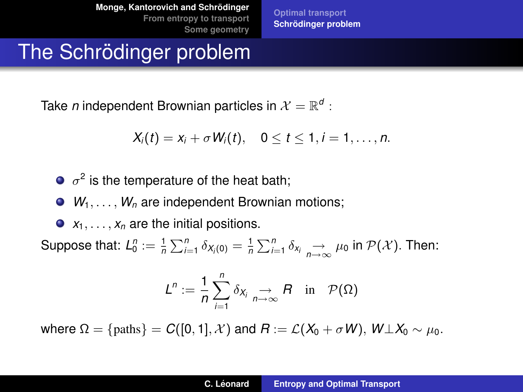**[Optimal transport](#page-2-0) [Schrodinger problem](#page-5-0) ¨**

## The Schrödinger problem

Take *n* independent Brownian particles in  $\mathcal{X} = \mathbb{R}^d$  :

$$
X_i(t) = x_i + \sigma W_i(t), \quad 0 \leq t \leq 1, i = 1, \ldots, n.
$$

 $\sigma^2$  is the temperature of the heat bath;

 $\bullet$   $W_1, \ldots, W_n$  are independent Brownian motions;

 $\bullet$   $x_1, \ldots, x_n$  are the initial positions.

Suppose that:  $L_0^n := \frac{1}{n} \sum_{i=1}^n \delta_{X_i(0)} = \frac{1}{n} \sum_{i=1}^n \delta_{X_i} \xrightarrow[n \to \infty]{} \mu_0$  in  $\mathcal{P}(\mathcal{X})$ . Then:

<span id="page-5-0"></span>
$$
L^n := \frac{1}{n} \sum_{i=1}^n \delta_{X_i} \underset{n \to \infty}{\to} R \quad \text{in} \quad \mathcal{P}(\Omega)
$$

where  $\Omega = \{\text{paths}\}= C([0, 1], \mathcal{X})$  and  $R := \mathcal{L}(X_0 + \sigma W)$ ,  $W \perp X_0 \sim \mu_0$ .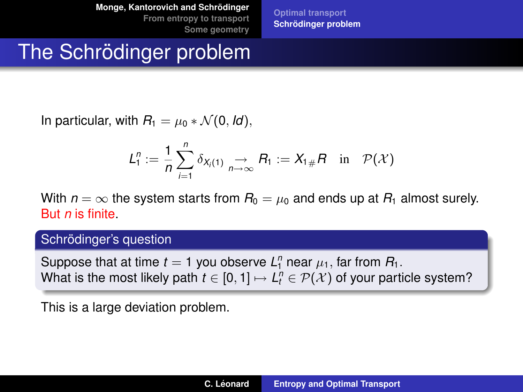**[Optimal transport](#page-2-0) [Schrodinger problem](#page-5-0) ¨**

# The Schrödinger problem

In particular, with  $R_1 = \mu_0 * \mathcal{N}(0, \text{Id}),$ 

$$
L_1^n := \frac{1}{n} \sum_{i=1}^n \delta_{X_i(1)} \underset{n \to \infty}{\to} R_1 := X_{1\#} R \quad \text{in} \quad \mathcal{P}(\mathcal{X})
$$

With  $n = \infty$  the system starts from  $R_0 = \mu_0$  and ends up at  $R_1$  almost surely. But *n* is finite.

#### Schrödinger's question

Suppose that at time  $t = 1$  you observe  $L_1^n$  near  $\mu_1$ , far from  $R_1$ . What is the most likely path  $t\in [0,1]\mapsto L_t^n\in \mathcal{P}(\mathcal{X})$  of your particle system?

This is a large deviation problem.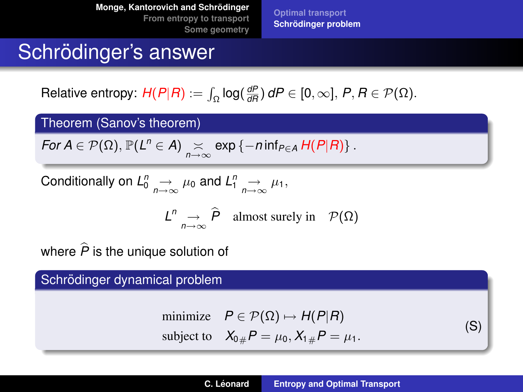**[Optimal transport](#page-2-0) [Schrodinger problem](#page-5-0) ¨**

## Schrödinger's answer

 $\mathsf{Relative \: entropy:} \: \mathsf{H}(P | R) := \int_{\Omega} \log(\frac{dP}{dR}) \, dP \in [0, \infty], \, P, R \in \mathcal{P}(\Omega).$ 

Theorem (Sanov's theorem)

For 
$$
A \in \mathcal{P}(\Omega)
$$
,  $\mathbb{P}(L^n \in A) \underset{n \to \infty}{\times} \exp \{-n \inf_{P \in A} H(P|R)\}$ .

Conditionally on 
$$
L_0^n \to \mu_0
$$
 and  $L_1^n \to \mu_1$ ,

$$
L^n \underset{n \to \infty}{\to} \widehat{P} \quad \text{almost surely in} \quad \mathcal{P}(\Omega)
$$

where  $\hat{P}$  is the unique solution of

Schrödinger dynamical problem

minimize 
$$
P \in \mathcal{P}(\Omega) \mapsto H(P|R)
$$
  
subject to  $X_{0\#}P = \mu_0, X_{1\#}P = \mu_1$ . (S)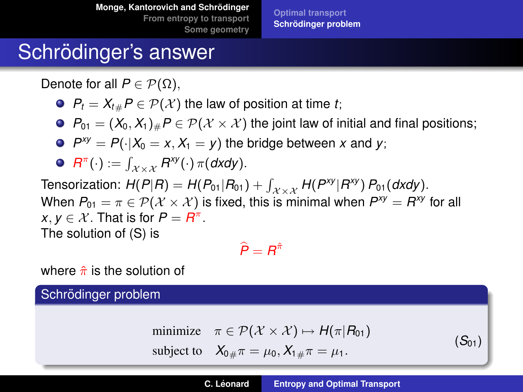**[Optimal transport](#page-2-0) [Schrodinger problem](#page-5-0) ¨**

## Schrödinger's answer

Denote for all  $P \in \mathcal{P}(\Omega)$ ,

 $P_t = X_{t} P \in \mathcal{P}(\mathcal{X})$  the law of position at time *t*;

 $P_{01} = (X_0, X_1)_\# P \in \mathcal{P}(\mathcal{X} \times \mathcal{X})$  the joint law of initial and final positions;

 $P^{xy} = P(\cdot | X_0 = x, X_1 = y)$  the bridge between *x* and *y*;

$$
\bullet \ \ R^{\pi}(\cdot) := \int_{\mathcal{X} \times \mathcal{X}} R^{xy}(\cdot) \, \pi(dxdy).
$$

 $\text{Tensorization: } H(P|R) = H(P_{01}|R_{01}) + \int_{\mathcal{X} \times \mathcal{X}} H(P^{\text{xy}}|R^{\text{xy}}) P_{01}(dxdy).$ When  $P_{01} = \pi \in \mathcal{P}(\mathcal{X} \times \mathcal{X})$  is fixed, this is minimal when  $\mathcal{P}^{xy} = \mathcal{R}^{xy}$  for all  $x, y \in \mathcal{X}$ . That is for  $P = R^{\pi}$ . The solution of (S) is

$$
\widehat{P}=R^{\hat{\pi}}
$$

where  $\hat{\pi}$  is the solution of

### Schrödinger problem

minimize  $\pi \in \mathcal{P}(\mathcal{X} \times \mathcal{X}) \mapsto H(\pi | R_{01})$ subject to  $X_{0\mu\pi} = \mu_0, X_{1\mu\pi} = \mu_1$ .

 $(S_{01})$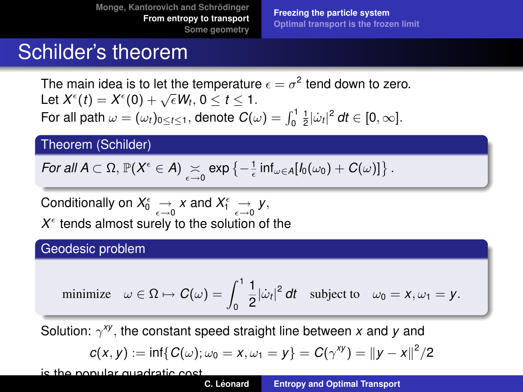**[Freezing the particle system](#page-9-0) [Optimal transport is the frozen limit](#page-13-0)**

## Schilder's theorem

The main idea is to let the temperature  $\epsilon=\sigma^2$  tend down to zero. Let  $X^{\epsilon}(t) = X^{\epsilon}(0) + \sqrt{\epsilon}W_t$ ,  $0 \le t \le 1$ . For all path  $\omega = (\omega_t)_{0 \leq t \leq 1}$ , denote  $C(\omega) = \int_0^1 \frac{1}{2} |\dot{\omega}_t|^2 dt \in [0, \infty]$ .

### Theorem (Schilder)

For all 
$$
A \subset \Omega
$$
,  $\mathbb{P}(X^{\epsilon} \in A) \underset{\epsilon \to 0}{\times} \exp \left\{-\frac{1}{\epsilon} \inf_{\omega \in A}[l_0(\omega_0) + C(\omega)]\right\}$ .

Conditionally on  $X_0^\epsilon \underset{\epsilon \to 0}{\to} X$  and  $X_1^\epsilon \underset{\epsilon \to 0}{\to} Y,$  $X^{\epsilon}$  tends almost surely to the solution of the

#### Geodesic problem

minimize 
$$
\omega \in \Omega \mapsto C(\omega) = \int_0^1 \frac{1}{2} |\dot{\omega}_t|^2 dt
$$
 subject to  $\omega_0 = x, \omega_1 = y$ .

Solution: γ *xy* , the constant speed straight line between *x* and *y* and

<span id="page-9-0"></span>
$$
c(x, y) := \inf\{C(\omega); \omega_0 = x, \omega_1 = y\} = C(\gamma^{xy}) = ||y - x||^2/2
$$

is the popular quadratic cost.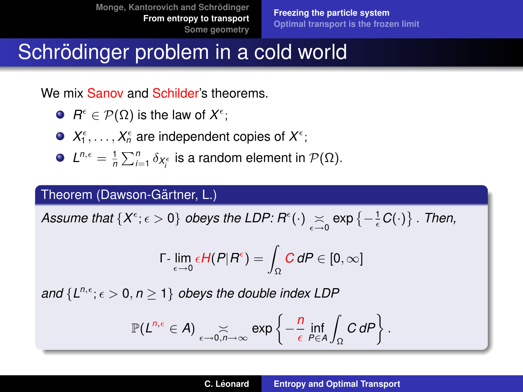# Schrödinger problem in a cold world

We mix Sanov and Schilder's theorems.

- $R^{\epsilon} \in \mathcal{P}(\Omega)$  is the law of  $X^{\epsilon}$ ;
- $X_1^{\epsilon}, \ldots, X_n^{\epsilon}$  are independent copies of  $X^{\epsilon}$ ;
- $L^{n,\epsilon} = \frac{1}{n} \sum_{i=1}^{n} \delta_{X_i^{\epsilon}}$  is a random element in  $\mathcal{P}(\Omega)$ .

### Theorem (Dawson-Gärtner, L.)

 $\mathcal{A}$ *ssume that*  $\{X^\epsilon; \epsilon > 0\}$  *obeys the LDP:*  $R^\epsilon(\cdot) \mathop{\gtrsim}\limits_{\epsilon \to 0} \exp\left\{-\frac{1}{\epsilon} C(\cdot)\right\}$  . Then,

$$
\Gamma\text{-}\lim_{\epsilon\to 0}\epsilon H(P|R^\epsilon)=\int_\Omega \textit{C}\, dP\in [0,\infty]
$$

*and*  $\{L^{n,\epsilon}; \epsilon > 0, n \geq 1\}$  *obeys the double index LDP* 

$$
\mathbb{P}(L^{n,\epsilon} \in A) \underset{\epsilon \to 0, n \to \infty}{\asymp} \exp \left\{-\frac{n}{\epsilon} \inf_{P \in A} \int_{\Omega} C dP\right\}.
$$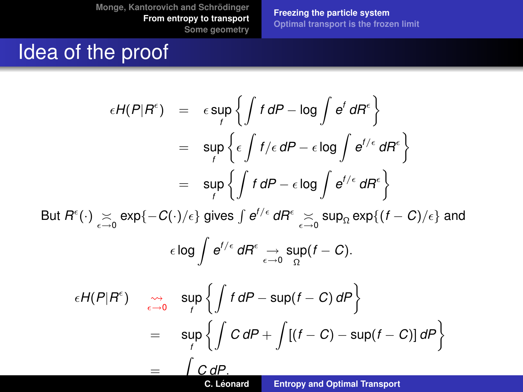=

**[Freezing the particle system](#page-9-0) [Optimal transport is the frozen limit](#page-13-0)**

## Idea of the proof

$$
\epsilon H(P|R^{\epsilon}) = \epsilon \sup_{f} \left\{ \int f dP - \log \int e^{f} dR^{\epsilon} \right\}
$$
  
\n
$$
= \sup_{f} \left\{ \epsilon \int f/\epsilon dP - \epsilon \log \int e^{f/\epsilon} dR^{\epsilon} \right\}
$$
  
\n
$$
= \sup_{f} \left\{ \int f dP - \epsilon \log \int e^{f/\epsilon} dR^{\epsilon} \right\}
$$
  
\nBut  $R^{\epsilon}(\cdot) \sum_{\epsilon \to 0} \exp\{-C(\cdot)/\epsilon\}$  gives  $\int e^{f/\epsilon} dR^{\epsilon} \sum_{\epsilon \to 0} \sup_{\Omega} \exp\{(f - C)/\epsilon\}$  and  
\n
$$
\epsilon \log \int e^{f/\epsilon} dR^{\epsilon} \xrightarrow[\epsilon \to 0]{} \sup_{\Omega} (f - C).
$$
  
\n
$$
\epsilon H(P|R^{\epsilon}) \quad \underset{\epsilon \to 0}{}^{\infty} \sup_{f} \left\{ \int f dP - \sup(f - C) dP \right\}
$$
  
\n
$$
= \sup_{f} \left\{ \int C dP + \int [(f - C) - \sup(f - C)] dP \right\}
$$

Z *C dP*. **C. Leonard ´ [Entropy and Optimal Transport](#page-0-0)**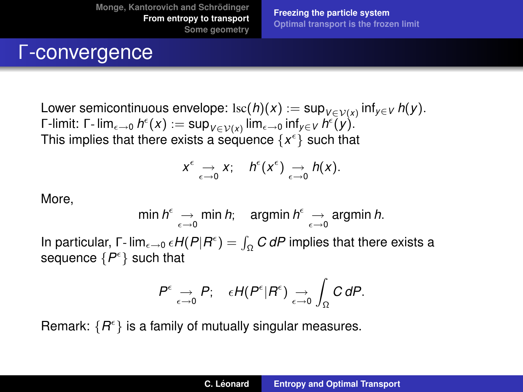**[Freezing the particle system](#page-9-0) [Optimal transport is the frozen limit](#page-13-0)**

### Γ-convergence

 $\mathsf{Lower} \ \mathsf{semicontinuous} \ \mathsf{envelope} \colon \mathrm{Isc}(h)(x) := \mathsf{sup}_{V \in \mathcal{V}(x)} \ \mathsf{inf}_{y \in V} \ h(y).$  $\mathsf{\Gamma}\text{-}\mathsf{limit}\colon \mathsf{\Gamma}\text{-}\mathsf{lim}_{\epsilon\to 0}\,h^\epsilon(x):=\mathsf{sup}_{V\in \mathcal{V}(x)}\mathsf{lim}_{\epsilon\to 0}\mathsf{inf}_{y\in V}\,h^\epsilon(y).$ This implies that there exists a sequence  $\{x^{\epsilon}\}$  such that

$$
x^{\epsilon} \underset{\epsilon \to 0}{\to} x; \quad h^{\epsilon}(x^{\epsilon}) \underset{\epsilon \to 0}{\to} h(x).
$$

More,

$$
\min h^{\epsilon} \underset{\epsilon \to 0}{\to} \min h; \quad \text{argmin} \ h^{\epsilon} \underset{\epsilon \to 0}{\to} \text{argmin} \ h.
$$

In particular,  $\Gamma$ - lim<sub> $\epsilon \to 0$ </sub>  $\epsilon H(P|R^{\epsilon}) = \int_{\Omega} C dP$  implies that there exists a sequence  $\{P^{\epsilon}\}$  such that

$$
P^{\epsilon} \underset{\epsilon \to 0}{\to} P; \quad \epsilon H(P^{\epsilon} | R^{\epsilon}) \underset{\epsilon \to 0}{\to} \int_{\Omega} C dP.
$$

Remark:  $\{R^{\epsilon}\}\$ is a family of mutually singular measures.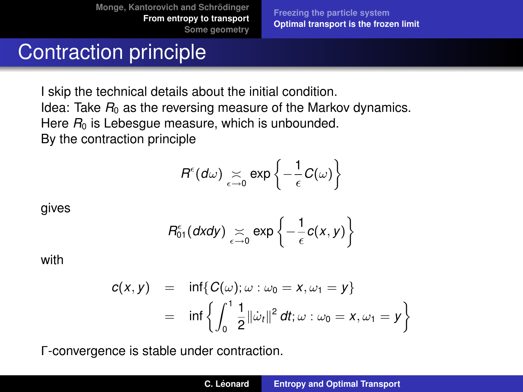**[Freezing the particle system](#page-9-0) [Optimal transport is the frozen limit](#page-13-0)**

## Contraction principle

I skip the technical details about the initial condition. Idea: Take  $R_0$  as the reversing measure of the Markov dynamics. Here  $R_0$  is Lebesgue measure, which is unbounded. By the contraction principle

$$
R^{\epsilon}(d\omega) \underset{\epsilon \to 0}{\asymp} \exp\left\{-\frac{1}{\epsilon}C(\omega)\right\}
$$

gives

<span id="page-13-0"></span>
$$
R_{01}^{\epsilon}(dx dy) \underset{\epsilon \to 0}{\asymp} \exp \left\{-\frac{1}{\epsilon}c(x, y)\right\}
$$

with

$$
c(x,y) = \inf \{ C(\omega); \omega : \omega_0 = x, \omega_1 = y \}
$$
  
= 
$$
\inf \left\{ \int_0^1 \frac{1}{2} ||\dot{\omega}_t||^2 dt; \omega : \omega_0 = x, \omega_1 = y \right\}
$$

Γ-convergence is stable under contraction.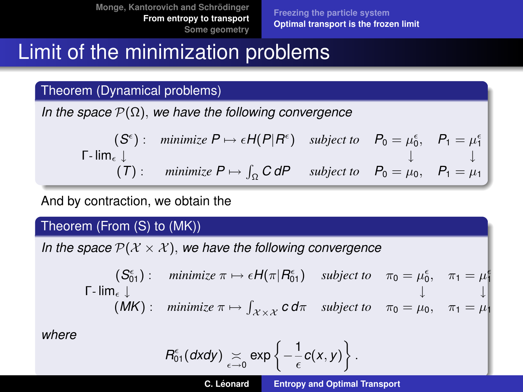# Limit of the minimization problems

Theorem (Dynamical problems)

*In the space* P(Ω), *we have the following convergence*

$$
\begin{array}{ccc}\n(S^{\epsilon}): & \text{minimize } P \mapsto \epsilon H(P|R^{\epsilon}) & \text{subject to} & P_0 = \mu_0^{\epsilon}, & P_1 = \mu_1^{\epsilon} \\
\downarrow & & \downarrow & \downarrow \\
(T): & \text{minimize } P \mapsto \int_{\Omega} C dP & \text{subject to} & P_0 = \mu_0, & P_1 = \mu_1\n\end{array}
$$

And by contraction, we obtain the

### Theorem (From (S) to (MK))

*In the space*  $P(X \times X)$ , we have the following convergence

$$
\begin{array}{ccc}\n(S_{01}^{\epsilon}) : & \text{minimize } \pi \mapsto \epsilon H(\pi | R_{01}^{\epsilon}) & \text{subject to} & \pi_0 = \mu_0^{\epsilon}, & \pi_1 = \mu_1^{\epsilon} \\
\vdots & \vdots & \vdots & \vdots \\
(MK) : & \text{minimize } \pi \mapsto \int_{\mathcal{X} \times \mathcal{X}} c \, d\pi & \text{subject to} & \pi_0 = \mu_0, & \pi_1 = \mu_1^{\epsilon}\n\end{array}
$$

*where*

$$
R_{01}^{\epsilon}(dx dy) \underset{\epsilon \to 0}{\asymp} \exp \left\{-\frac{1}{\epsilon}c(x,y)\right\}.
$$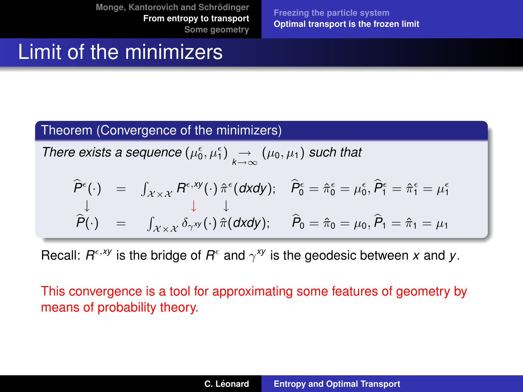**[Freezing the particle system](#page-9-0) [Optimal transport is the frozen limit](#page-13-0)**

## Limit of the minimizers

### Theorem (Convergence of the minimizers)

*There exists a sequence*  $(\mu_0^{\epsilon}, \mu_1^{\epsilon}) \rightarrow (\mu_0, \mu_1)$  *such that* 

$$
\widehat{P}^{\epsilon}(\cdot) = \int_{\mathcal{X}\times\mathcal{X}} R^{\epsilon, xy}(\cdot) \, \widehat{\pi}^{\epsilon}(\mathsf{d}x\mathsf{d}y); \quad \widehat{P}^{\epsilon}_0 = \widehat{\pi}^{\epsilon}_0 = \mu_0^{\epsilon}, \widehat{P}^{\epsilon}_1 = \widehat{\pi}^{\epsilon}_1 = \mu_1^{\epsilon}
$$
\n
$$
\downarrow \qquad \downarrow \qquad \downarrow
$$
\n
$$
\widehat{P}(\cdot) = \int_{\mathcal{X}\times\mathcal{X}} \delta_{\gamma}^{xy}(\cdot) \, \widehat{\pi}(\mathsf{d}x\mathsf{d}y); \quad \widehat{P}_0 = \widehat{\pi}_0 = \mu_0, \widehat{P}_1 = \widehat{\pi}_1 = \mu_1
$$

Recall:  $R^{\epsilon, xy}$  is the bridge of  $R^{\epsilon}$  and  $\gamma^{xy}$  is the geodesic between *x* and *y*.

This convergence is a tool for approximating some features of geometry by means of probability theory.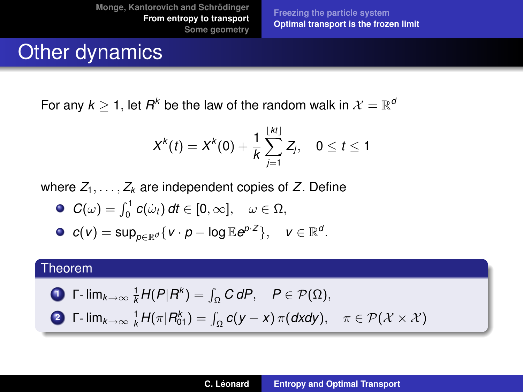**[Freezing the particle system](#page-9-0) [Optimal transport is the frozen limit](#page-13-0)**

## Other dynamics

For any  $k \geq 1$ , let  $R^k$  be the law of the random walk in  $\mathcal{X} = \mathbb{R}^d$ 

$$
X^{k}(t) = X^{k}(0) + \frac{1}{k} \sum_{j=1}^{\lfloor kt \rfloor} Z_{j}, \quad 0 \leq t \leq 1
$$

where  $Z_1, \ldots, Z_k$  are independent copies of  $Z$ . Define

 $C(\omega) = \int_0^1 c(\dot{\omega}_t) dt \in [0, \infty], \quad \omega \in \Omega,$ 

• 
$$
c(v) = \sup_{p \in \mathbb{R}^d} \{v \cdot p - \log \mathbb{E} e^{p \cdot z}\}, \quad v \in \mathbb{R}^d.
$$

### Theorem

$$
\text{I} \quad \Gamma\text{-}\lim_{k\to\infty} \frac{1}{k} H(P|R^k) = \int_{\Omega} C dP, \quad P \in \mathcal{P}(\Omega),
$$

**2** 
$$
\Gamma
$$
-  $\lim_{k \to \infty} \frac{1}{k} H(\pi | R_{01}^k) = \int_{\Omega} c(y - x) \pi(dxdy), \quad \pi \in \mathcal{P}(\mathcal{X} \times \mathcal{X})$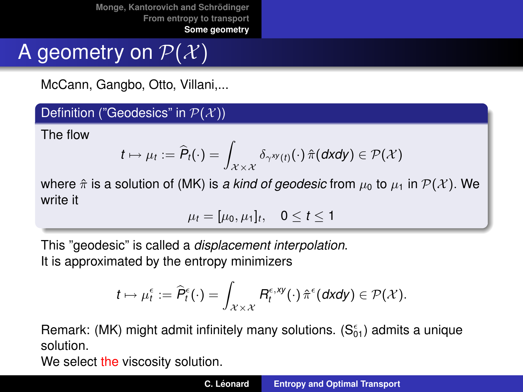# A geometry on  $P(X)$

McCann, Gangbo, Otto, Villani,...

Definition ("Geodesics" in  $\mathcal{P}(\mathcal{X})$ )

The flow

$$
t\mapsto \mu_t:=\widehat{P}_t(\cdot)=\int_{\mathcal{X}\times\mathcal{X}}\delta_{\gamma^{xy}(t)}(\cdot)\,\hat{\pi}(dxdy)\in\mathcal{P}(\mathcal{X})
$$

where  $\hat{\pi}$  is a solution of (MK) is *a kind of geodesic* from  $\mu_0$  to  $\mu_1$  in  $\mathcal{P}(\mathcal{X})$ . We write it

<span id="page-17-0"></span>
$$
\mu_t=[\mu_0,\mu_1]_t,\quad 0\leq t\leq 1
$$

This "geodesic" is called a *displacement interpolation*. It is approximated by the entropy minimizers

$$
t\mapsto \mu^\epsilon_t:=\widehat{P}_t^\epsilon(\cdot)=\int_{\mathcal{X}\times\mathcal{X}}R^{\epsilon,xy}_t(\cdot)\,\hat{\pi}^\epsilon(\textit{dxdy})\in\mathcal{P}(\mathcal{X}).
$$

Remark: (MK) might admit infinitely many solutions.  $(S_{01}^{\epsilon})$  admits a unique solution.

We select the viscosity solution.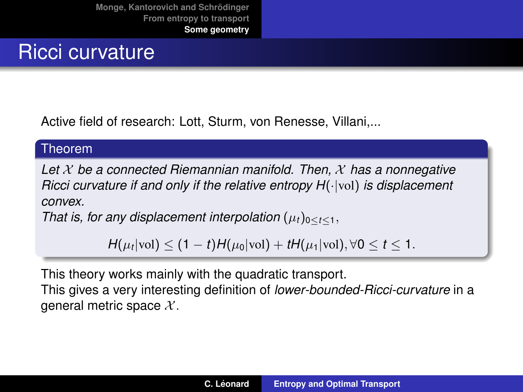## Ricci curvature

Active field of research: Lott, Sturm, von Renesse, Villani,...

#### Theorem

*Let* X *be a connected Riemannian manifold. Then,* X *has a nonnegative Ricci curvature if and only if the relative entropy H(* $\cdot$ *|vol) is displacement convex.*

*That is, for any displacement interpolation*  $(\mu_t)_{0 \le t \le 1}$ ,

*H*( $\mu_t$ |vol) < (1 – *t*)*H*( $\mu_0$ |vol) + *tH*( $\mu_1$ |vol),  $\forall$ 0 < *t* < 1.

This theory works mainly with the quadratic transport.

This gives a very interesting definition of *lower-bounded-Ricci-curvature* in a general metric space  $X$ .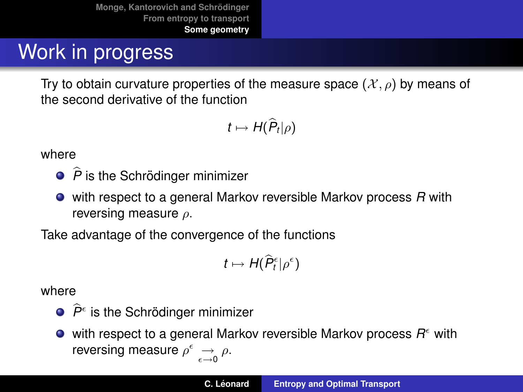# Work in progress

Try to obtain curvature properties of the measure space  $(\mathcal{X}, \rho)$  by means of the second derivative of the function

$$
t\mapsto H(\widehat{P}_t|\rho)
$$

where

- $\widehat{P}$  is the Schrödinger minimizer
- with respect to a general Markov reversible Markov process *R* with reversing measure  $\rho$ .

Take advantage of the convergence of the functions

$$
t\mapsto H(\widehat{P}_t^{\epsilon}|\rho^{\epsilon})
$$

where

 $\widehat{P}^{\epsilon}$  is the Schrödinger minimizer

with respect to a general Markov reversible Markov process *R* with reversing measure  $\rho^{\epsilon} \underset{\epsilon \to 0}{\to} \rho$ .